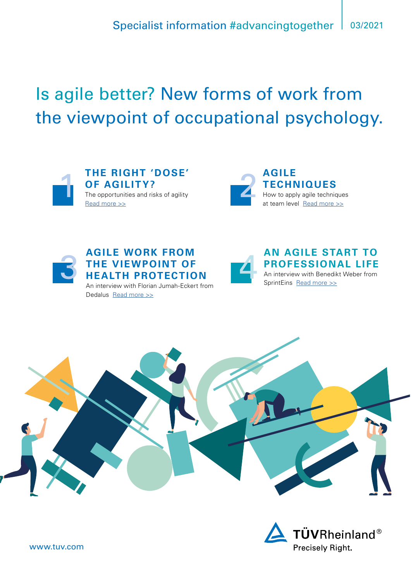# Is agile better? New forms of work from the viewpoint of occupational psychology.



**THE RIGHT 'DOSE' OF AGILITY?** The opportunities and risks of agility [Read more >>](#page-1-0)





**AGILE WORK FROM<br>THE VIEWPOINT OF<br>HEALTH PROTECTIO THE VIEWPOINT OF HEALTH PROTECTION**  An interview with Florian Jumah-Eckert from Dedalus [Read more >>](#page-5-0)



**AN AGILE START TO PROFESSIONAL LIFE**  An interview with Benedikt Weber from SprintEins [Read more >>](#page-7-0)



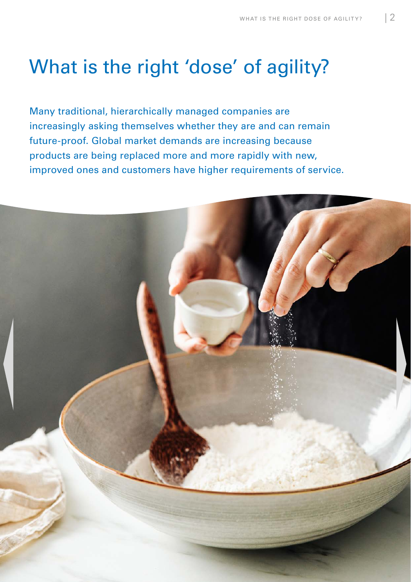# <span id="page-1-0"></span>What is the right 'dose' of agility?

Many traditional, hierarchically managed companies are increasingly asking themselves whether they are and can remain future-proof. Global market demands are increasing because products are being replaced more and more rapidly with new, improved ones and customers have higher requirements of service.

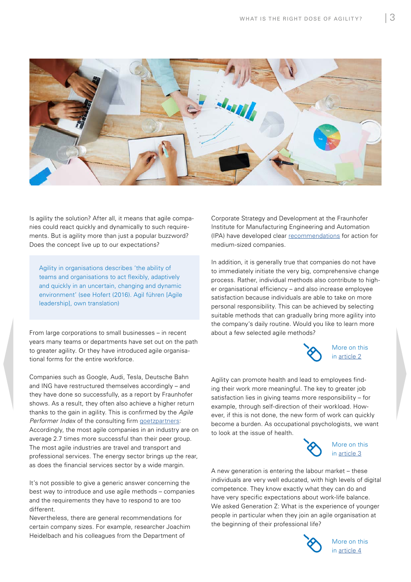

Is agility the solution? After all, it means that agile companies could react quickly and dynamically to such requirements. But is agility more than just a popular buzzword? Does the concept live up to our expectations?

Agility in organisations describes 'the ability of teams and organisations to act flexibly, adaptively and quickly in an uncertain, changing and dynamic environment' (see Hofert (2016). Agil führen [Agile leadership], own translation)

From large corporations to small businesses – in recent years many teams or departments have set out on the path to greater agility. Or they have introduced agile organisational forms for the entire workforce.

Companies such as Google, Audi, Tesla, Deutsche Bahn and ING have restructured themselves accordingly – and they have done so successfully, as a report by Fraunhofer shows. As a result, they often also achieve a higher return thanks to the gain in agility. This is confirmed by the *Agile Performer Index* of the consulting firm [goetzpartners:](https://www.goetzpartners.com/uploads/tx_gp/2017_goetzpartners_Agile_Performer_Index.pdf) Accordingly, the most agile companies in an industry are on average 2.7 times more successful than their peer group. The most agile industries are travel and transport and professional services. The energy sector brings up the rear, as does the financial services sector by a wide margin.

It's not possible to give a generic answer concerning the best way to introduce and use agile methods – companies and the requirements they have to respond to are too different.

Nevertheless, there are general recommendations for certain company sizes. For example, researcher Joachim Heidelbach and his colleagues from the Department of

Corporate Strategy and Development at the Fraunhofer Institute for Manufacturing Engineering and Automation (IPA) have developed clear [recommendations](https://www.ipa.fraunhofer.de/de/Publikationen/studien/studie_agile_organisation.html) for action for medium-sized companies.

In addition, it is generally true that companies do not have to immediately initiate the very big, comprehensive change process. Rather, individual methods also contribute to higher organisational efficiency – and also increase employee satisfaction because individuals are able to take on more personal responsibility. This can be achieved by selecting suitable methods that can gradually bring more agility into the company's daily routine. Would you like to learn more about a few selected agile methods?



More on this in [article 2](#page-3-0)

Agility can promote health and lead to employees finding their work more meaningful. The key to greater job satisfaction lies in giving teams more responsibility – for example, through self-direction of their workload. However, if this is not done, the new form of work can quickly become a burden. As occupational psychologists, we want to look at the issue of health.



More on this in [article 3](#page-5-0)

A new generation is entering the labour market – these individuals are very well educated, with high levels of digital competence. They know exactly what they can do and have very specific expectations about work-life balance. We asked Generation Z: What is the experience of younger people in particular when they join an agile organisation at the beginning of their professional life?



More on this in [article 4](#page-7-0)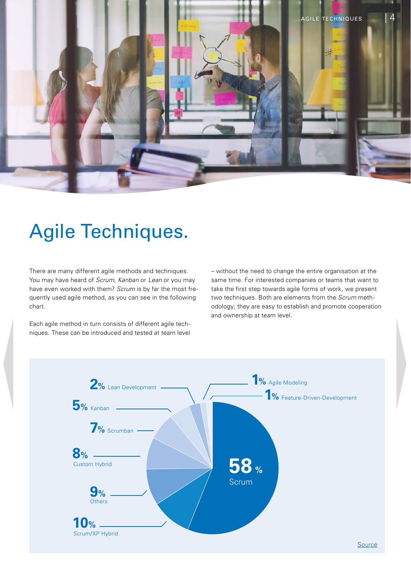<span id="page-3-0"></span>

# Agile Techniques.

There are many different agile methods and techniques. You may have heard of *Scrum*, *Kanban* or *Lean* or you may have even worked with them? *Scrum* is by far the most frequently used agile method, as you can see in the following chart.

Each agile method in turn consists of different agile techniques. These can be introduced and tested at team level

– without the need to change the entire organisation at the same time. For interested companies or teams that want to take the first step towards agile forms of work, we present two techniques. Both are elements from the *Scrum* methodology; they are easy to establish and promote cooperation and ownership at team level.

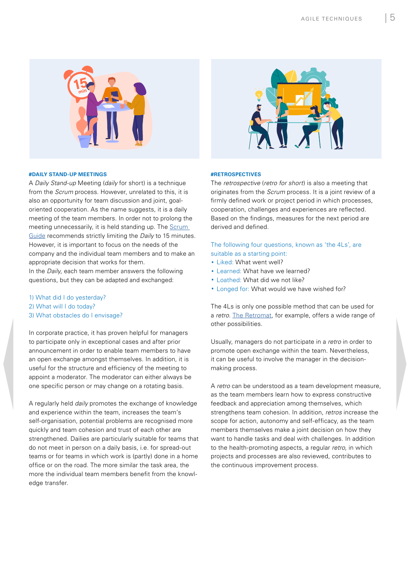

#### **#DAILY STAND-UP MEETINGS**

A *Daily Stand-up* Meeting (*daily* for short) is a technique from the *Scrum* process*.* However, unrelated to this, it is also an opportunity for team discussion and joint, goaloriented cooperation. As the name suggests, it is a daily meeting of the team members. In order not to prolong the meeting unnecessarily, it is held standing up. The [Scrum](https://scrumguides.org/index.html)  [Guide](https://scrumguides.org/index.html) recommends strictly limiting the *Daily* to 15 minutes. However, it is important to focus on the needs of the company and the individual team members and to make an appropriate decision that works for them.

In the *Daily*, each team member answers the following questions, but they can be adapted and exchanged:

- 1) What did I do yesterday?
- 2) What will I do today?
- 3) What obstacles do I envisage?

In corporate practice, it has proven helpful for managers to participate only in exceptional cases and after prior announcement in order to enable team members to have an open exchange amongst themselves. In addition, it is useful for the structure and efficiency of the meeting to appoint a moderator. The moderator can either always be one specific person or may change on a rotating basis.

A regularly held *daily* promotes the exchange of knowledge and experience within the team, increases the team's self-organisation, potential problems are recognised more quickly and team cohesion and trust of each other are strengthened. Dailies are particularly suitable for teams that do not meet in person on a daily basis, i.e. for spread-out teams or for teams in which work is (partly) done in a home office or on the road. The more similar the task area, the more the individual team members benefit from the knowledge transfer.



#### **#RETROSPECTIVES**

The *retrospective* (*retro for short*) is also a meeting that originates from the *Scrum* process. It is a joint review of a firmly defined work or project period in which processes, cooperation, challenges and experiences are reflected. Based on the findings, measures for the next period are derived and defined.

The following four questions, known as 'the 4Ls', are suitable as a starting point:

- · Liked: What went well?
- · Learned: What have we learned?
- · Loathed: What did we not like?
- · Longed for: What would we have wished for?

The 4Ls is only one possible method that can be used for a *retro*. [The Retromat,](https://retromat.org/de) for example, offers a wide range of other possibilities.

Usually, managers do not participate in a *retro* in order to promote open exchange within the team. Nevertheless, it can be useful to involve the manager in the decisionmaking process.

A *retro* can be understood as a team development measure, as the team members learn how to express constructive feedback and appreciation among themselves, which strengthens team cohesion. In addition, *retros* increase the scope for action, autonomy and self-efficacy, as the team members themselves make a joint decision on how they want to handle tasks and deal with challenges. In addition to the health-promoting aspects, a regular *retro*, in which projects and processes are also reviewed, contributes to the continuous improvement process.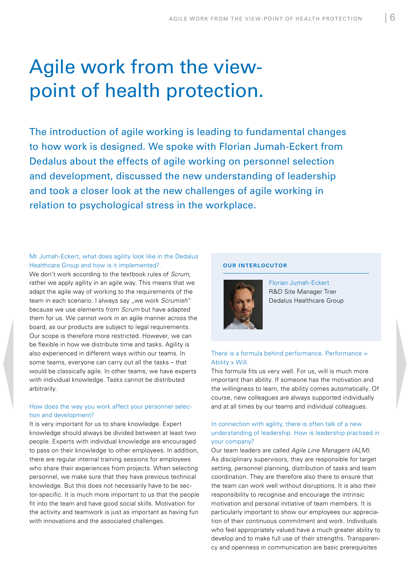# <span id="page-5-0"></span>Agile work from the viewpoint of health protection.

The introduction of agile working is leading to fundamental changes to how work is designed. We spoke with Florian Jumah-Eckert from Dedalus about the effects of agile working on personnel selection and development, discussed the new understanding of leadership and took a closer look at the new challenges of agile working in relation to psychological stress in the workplace.

## Mr Jumah-Eckert, what does agility look like in the Dedalus Healthcare Group and how is it implemented?

We don't work according to the textbook rules of *Scrum*, rather we apply agility in an agile way. This means that we adapt the agile way of working to the requirements of the team in each scenario. I always say "we work *Scrumish*" because we use elements from *Scrum* but have adapted them for us. We cannot work in an agile manner across the board, as our products are subject to legal requirements. Our scope is therefore more restricted. However, we can be flexible in how we distribute time and tasks. Agility is also experienced in different ways within our teams. In some teams, everyone can carry out all the tasks – that would be classically agile. In other teams, we have experts with individual knowledge. Tasks cannot be distributed arbitrarily.

# How does the way you work affect your personnel selection and development?

It is very important for us to share knowledge. Expert knowledge should always be divided between at least two people. Experts with individual knowledge are encouraged to pass on their knowledge to other employees. In addition, there are regular internal training sessions for employees who share their experiences from projects. When selecting personnel, we make sure that they have previous technical knowledge. But this does not necessarily have to be sector-specific. It is much more important to us that the people fit into the team and have good social skills. Motivation for the activity and teamwork is just as important as having fun with innovations and the associated challenges.

#### **OUR INTERLOCUTOR**



Florian Jumah-Eckert R&D Site Manager Trier Dedalus Healthcare Group

# There is a formula behind performance. Performance = Ability x Will.

This formula fits us very well. For us, will is much more important than ability. If someone has the motivation and the willingness to learn, the ability comes automatically. Of course, new colleagues are always supported individually and at all times by our teams and individual colleagues.

# In connection with agility, there is often talk of a new understanding of leadership. How is leadership practised in your company?

Our team leaders are called *Agile Line Managers (ALM)*. As disciplinary supervisors, they are responsible for target setting, personnel planning, distribution of tasks and team coordination. They are therefore also there to ensure that the team can work well without disruptions. It is also their responsibility to recognise and encourage the intrinsic motivation and personal initiative of team members. It is particularly important to show our employees our appreciation of their continuous commitment and work. Individuals who feel appropriately valued have a much greater ability to develop and to make full use of their strengths. Transparency and openness in communication are basic prerequisites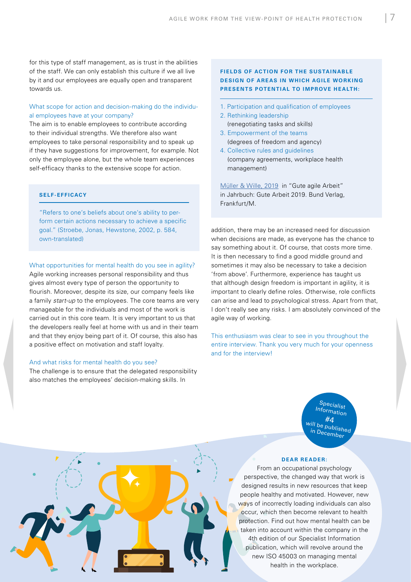for this type of staff management, as is trust in the abilities of the staff. We can only establish this culture if we all live by it and our employees are equally open and transparent towards us.

# What scope for action and decision-making do the individual employees have at your company?

The aim is to enable employees to contribute according to their individual strengths. We therefore also want employees to take personal responsibility and to speak up if they have suggestions for improvement, for example. Not only the employee alone, but the whole team experiences self-efficacy thanks to the extensive scope for action.

## **S E L F - E FF I CACY**

"Refers to one's beliefs about one's ability to perform certain actions necessary to achieve a specific goal." (Stroebe, Jonas, Hewstone, 2002, p. 584, own-translated)

What opportunities for mental health do you see in agility? Agile working increases personal responsibility and thus gives almost every type of person the opportunity to flourish. Moreover, despite its size, our company feels like a family *start-up* to the employees. The core teams are very manageable for the individuals and most of the work is carried out in this core team. It is very important to us that the developers really feel at home with us and in their team and that they enjoy being part of it. Of course, this also has a positive effect on motivation and staff loyalty.

#### And what risks for mental health do you see?

The challenge is to ensure that the delegated responsibility also matches the employees' decision-making skills. In

# **FIELDS OF ACTION FOR THE SUSTAINABLE DESIGN OF AREAS IN WHICH AGILE WORKING PRESENTS POTENTIAL TO IMPROVE HEALTH:**

- 1. Participation and qualification of employees
- 2. Rethinking leadership (renegotiating tasks and skills)
- 3. Empowerment of the teams (degrees of freedom and agency)
- 4. Collective rules and guidelines (company agreements, workplace health management)

[Müller & Wille, 2019](http://www.innovation-gute-arbeit.verdi.de) in "Gute agile Arbeit" in Jahrbuch: Gute Arbeit 2019. Bund Verlag, Frankfurt/M.

addition, there may be an increased need for discussion when decisions are made, as everyone has the chance to say something about it. Of course, that costs more time. It is then necessary to find a good middle ground and sometimes it may also be necessary to take a decision 'from above'. Furthermore, experience has taught us that although design freedom is important in agility, it is important to clearly define roles. Otherwise, role conflicts can arise and lead to psychological stress. Apart from that, I don't really see any risks. I am absolutely convinced of the agile way of working.

This enthusiasm was clear to see in you throughout the entire interview. Thank you very much for your openness and for the interview!

> Specialist Information will be published in December

#### **DEAR READER:**

From an occupational psychology perspective, the changed way that work is designed results in new resources that keep people healthy and motivated. However, new ways of incorrectly loading individuals can also occur, which then become relevant to health protection. Find out how mental health can be taken into account within the company in the 4th edition of our Specialist Information publication, which will revolve around the new ISO 45003 on managing mental health in the workplace.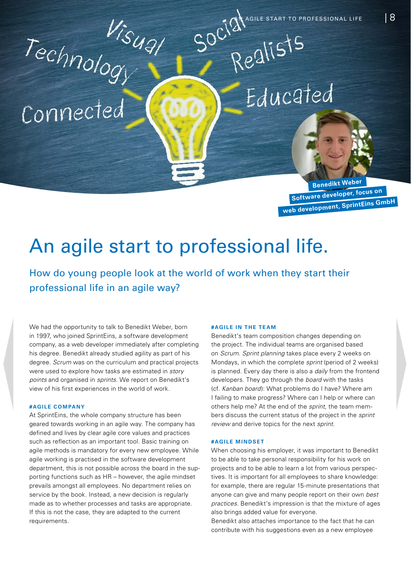**Benedikt Weber Software developer, focus on web development, SprintEins GmbH**

# <span id="page-7-0"></span> $\frac{V_{S}}{V_{G}}$  solution is that to professional life. An agile start to professional life.

professional life in an agile way?

We had the opportunity to talk to Benedikt Weber, born in 1997, who joined SprintEins, a software development company, as a web developer immediately after completing his degree. Benedikt already studied agility as part of his degree. *Scrum* was on the curriculum and practical projects were used to explore how tasks are estimated in *story points* and organised in *sprints*. We report on Benedikt's view of his first experiences in the world of work.

## **#AG I L E C O M PA N Y**

At SprintEins, the whole company structure has been geared towards working in an agile way. The company has defined and lives by clear agile core values and practices such as reflection as an important tool. Basic training on agile methods is mandatory for every new employee. While agile working is practised in the software development department, this is not possible across the board in the supporting functions such as HR – however, the agile mindset prevails amongst all employees. No department relies on service by the book. Instead, a new decision is regularly made as to whether processes and tasks are appropriate. If this is not the case, they are adapted to the current requirements.

#### **#AGILE IN THE TEAM**

Benedikt's team composition changes depending on the project. The individual teams are organised based on *Scrum*. *Sprint planning* takes place every 2 weeks on Mondays, in which the complete *sprint* (period of 2 weeks) is planned. Every day there is also a *daily* from the frontend developers. They go through the *board* with the tasks (cf. *Kanban board*): What problems do I have? Where am I failing to make progress? Where can I help or where can others help me? At the end of the *sprint*, the team members discuss the current status of the project in the *sprint review* and derive topics for the next *sprint*.

#### **#AGILE MINDSET**

When choosing his employer, it was important to Benedikt to be able to take personal responsibility for his work on projects and to be able to learn a lot from various perspectives. It is important for all employees to share knowledge: for example, there are regular 15-minute presentations that anyone can give and many people report on their own *best practices*. Benedikt's impression is that the mixture of ages also brings added value for everyone.

Benedikt also attaches importance to the fact that he can contribute with his suggestions even as a new employee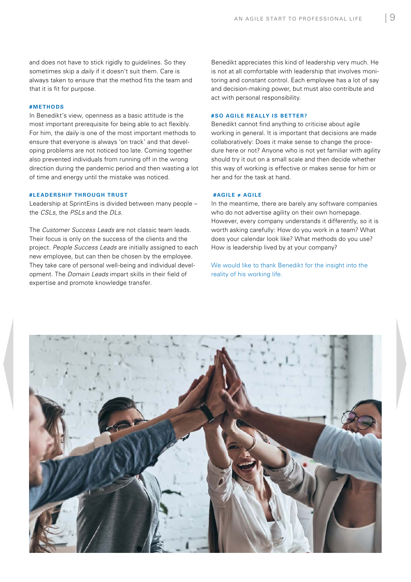and does not have to stick rigidly to guidelines. So they sometimes skip a *daily* if it doesn't suit them. Care is always taken to ensure that the method fits the team and that it is fit for purpose.

#### **# M E T H O DS**

In Benedikt's view, openness as a basic attitude is the most important prerequisite for being able to act flexibly. For him, the *daily* is one of the most important methods to ensure that everyone is always 'on track' and that developing problems are not noticed too late. Coming together also prevented individuals from running off in the wrong direction during the pandemic period and then wasting a lot of time and energy until the mistake was noticed.

#### **# LEADERSHIP THROUGH TRUST**

Leadership at SprintEins is divided between many people – the *CSLs*, the *PSLs* and the *DLs*.

The *Customer Success Leads* are not classic team leads. Their focus is only on the success of the clients and the project. *People Success Leads* are initially assigned to each new employee, but can then be chosen by the employee. They take care of personal well-being and individual development. The *Domain Leads* impart skills in their field of expertise and promote knowledge transfer.

Benedikt appreciates this kind of leadership very much. He is not at all comfortable with leadership that involves monitoring and constant control. Each employee has a lot of say and decision-making power, but must also contribute and act with personal responsibility.

#### **#SO AGILE REALLY IS BETTER?**

Benedikt cannot find anything to criticise about agile working in general. It is important that decisions are made collaboratively: Does it make sense to change the procedure here or not? Anyone who is not yet familiar with agility should try it out on a small scale and then decide whether this way of working is effective or makes sense for him or her and for the task at hand.

## **#AGILE ≠ AGILE**

In the meantime, there are barely any software companies who do not advertise agility on their own homepage. However, every company understands it differently, so it is worth asking carefully: How do you work in a team? What does your calendar look like? What methods do you use? How is leadership lived by at your company?

We would like to thank Benedikt for the insight into the reality of his working life.